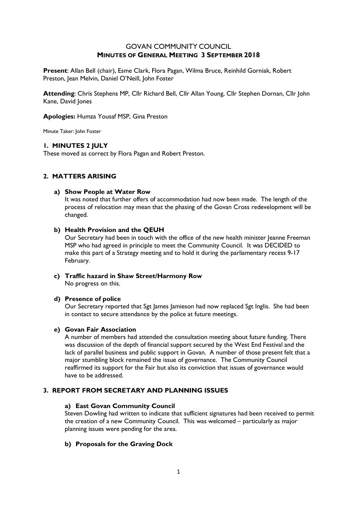# GOVAN COMMUNITY COUNCIL **MINUTES OF GENERAL MEETING 3 SEPTEMBER 2018**

**Present**: Allan Bell (chair), Esme Clark, Flora Pagan, Wilma Bruce, Reinhild Gorniak, Robert Preston, Jean Melvin, Daniel O'Neill, John Foster

**Attending**: Chris Stephens MP, Cllr Richard Bell, Cllr Allan Young, Cllr Stephen Dornan, Cllr John Kane, David Jones

## **Apologies:** Humza Yousaf MSP, Gina Preston

Minute Taker: John Foster

## **1. MINUTES 2 JULY**

These moved as correct by Flora Pagan and Robert Preston.

# **2. MATTERS ARISING**

## **a) Show People at Water Row**

It was noted that further offers of accommodation had now been made. The length of the process of relocation may mean that the phasing of the Govan Cross redevelopment will be changed.

## **b) Health Provision and the QEUH**

Our Secretary had been in touch with the office of the new health minister Jeanne Freeman MSP who had agreed in principle to meet the Community Council. It was DECIDED to make this part of a Strategy meeting and to hold it during the parliamentary recess 9-17 February.

**c) Traffic hazard in Shaw Street/Harmony Row** No progress on this.

## **d) Presence of police**

Our Secretary reported that Sgt James Jamieson had now replaced Sgt Inglis. She had been in contact to secure attendance by the police at future meetings.

## **e) Govan Fair Association**

A number of members had attended the consultation meeting about future funding. There was discussion of the depth of financial support secured by the West End Festival and the lack of parallel business and public support in Govan. A number of those present felt that a major stumbling block remained the issue of governance. The Community Council reaffirmed its support for the Fair but also its conviction that issues of governance would have to be addressed.

# **3. REPORT FROM SECRETARY AND PLANNING ISSUES**

## **a) East Govan Community Council**

Steven Dowling had written to indicate that sufficient signatures had been received to permit the creation of a new Community Council. This was welcomed – particularly as major planning issues were pending for the area.

## **b) Proposals for the Graving Dock**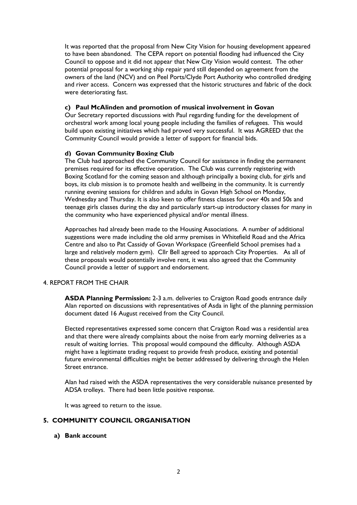It was reported that the proposal from New City Vision for housing development appeared to have been abandoned. The CEPA report on potential flooding had influenced the City Council to oppose and it did not appear that New City Vision would contest. The other potential proposal for a working ship repair yard still depended on agreement from the owners of the land (NCV) and on Peel Ports/Clyde Port Authority who controlled dredging and river access. Concern was expressed that the historic structures and fabric of the dock were deteriorating fast.

## **c) Paul McAlinden and promotion of musical involvement in Govan**

Our Secretary reported discussions with Paul regarding funding for the development of orchestral work among local young people including the families of refugees. This would build upon existing initiatives which had proved very successful. It was AGREED that the Community Council would provide a letter of support for financial bids.

### **d) Govan Community Boxing Club**

The Club had approached the Community Council for assistance in finding the permanent premises required for its effective operation. The Club was currently registering with Boxing Scotland for the coming season and although principally a boxing club, for girls and boys, its club mission is to promote health and wellbeing in the community. It is currently running evening sessions for children and adults in Govan High School on Monday, Wednesday and Thursday. It is also keen to offer fitness classes for over 40s and 50s and teenage girls classes during the day and particularly start-up introductory classes for many in the community who have experienced physical and/or mental illness.

Approaches had already been made to the Housing Associations. A number of additional suggestions were made including the old army premises in Whitefield Road and the Africa Centre and also to Pat Cassidy of Govan Workspace (Greenfield School premises had a large and relatively modern gym). Cllr Bell agreed to approach City Properties. As all of these proposals would potentially involve rent, it was also agreed that the Community Council provide a letter of support and endorsement.

## 4. REPORT FROM THE CHAIR

**ASDA Planning Permission:** 2-3 a.m. deliveries to Craigton Road goods entrance daily Alan reported on discussions with representatives of Asda in light of the planning permission document dated 16 August received from the City Council.

Elected representatives expressed some concern that Craigton Road was a residential area and that there were already complaints about the noise from early morning deliveries as a result of waiting lorries. This proposal would compound the difficulty. Although ASDA might have a legitimate trading request to provide fresh produce, existing and potential future environmental difficulties might be better addressed by delivering through the Helen Street entrance.

Alan had raised with the ASDA representatives the very considerable nuisance presented by ADSA trolleys. There had been little positive response.

It was agreed to return to the issue.

# **5. COMMUNITY COUNCIL ORGANISATION**

#### **a) Bank account**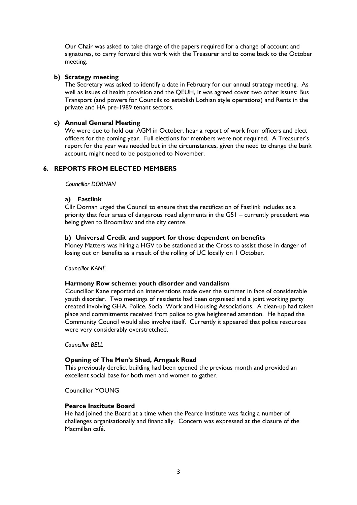Our Chair was asked to take charge of the papers required for a change of account and signatures, to carry forward this work with the Treasurer and to come back to the October meeting.

## **b) Strategy meeting**

The Secretary was asked to identify a date in February for our annual strategy meeting. As well as issues of health provision and the QEUH, it was agreed cover two other issues: Bus Transport (and powers for Councils to establish Lothian style operations) and Rents in the private and HA pre-1989 tenant sectors.

## **c) Annual General Meeting**

We were due to hold our AGM in October, hear a report of work from officers and elect officers for the coming year. Full elections for members were not required. A Treasurer's report for the year was needed but in the circumstances, given the need to change the bank account, might need to be postponed to November.

# **6. REPORTS FROM ELECTED MEMBERS**

 *Councillor DORNAN*

## **a) Fastlink**

Cllr Dornan urged the Council to ensure that the rectification of Fastlink includes as a priority that four areas of dangerous road alignments in the G51 – currently precedent was being given to Broomilaw and the city centre.

## **b) Universal Credit and support for those dependent on benefits**

Money Matters was hiring a HGV to be stationed at the Cross to assist those in danger of losing out on benefits as a result of the rolling of UC locally on 1 October.

## *Councillor KANE*

## **Harmony Row scheme: youth disorder and vandalism**

 Councillor Kane reported on interventions made over the summer in face of considerable youth disorder. Two meetings of residents had been organised and a joint working party created involving GHA, Police, Social Work and Housing Associations. A clean-up had taken place and commitments received from police to give heightened attention. He hoped the Community Council would also involve itself. Currently it appeared that police resources were very considerably overstretched.

## *Councillor BELL*

## **Opening of The Men's Shed, Arngask Road**

This previously derelict building had been opened the previous month and provided an excellent social base for both men and women to gather.

Councillor YOUNG

## **Pearce Institute Board**

He had joined the Board at a time when the Pearce Institute was facing a number of challenges organisationally and financially. Concern was expressed at the closure of the Macmillan café.